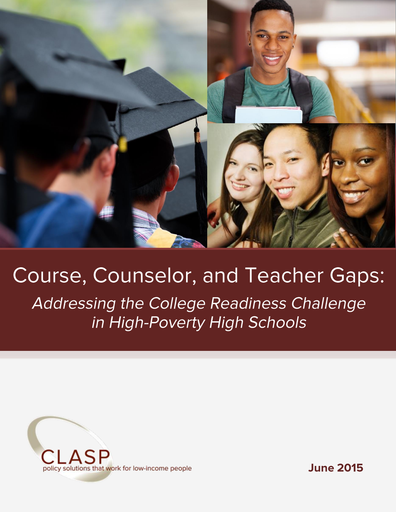

# **Course, Counselor, and Teacher Gaps:** Addressing the College Readiness Challenge in High-Poverty High Schools



**June 2015**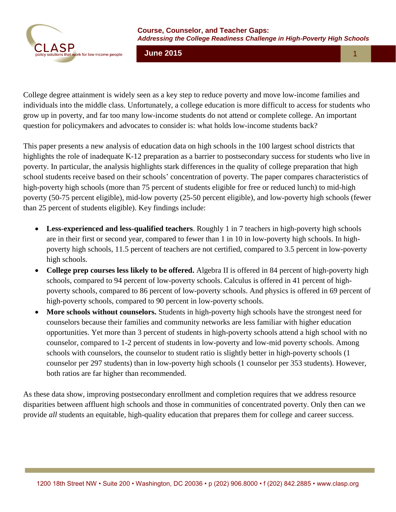

**June 2015** 1 4

College degree attainment is widely seen as a key step to reduce poverty and move low-income families and individuals into the middle class. Unfortunately, a college education is more difficult to access for students who grow up in poverty, and far too many low-income students do not attend or complete college. An important question for policymakers and advocates to consider is: what holds low-income students back?

This paper presents a new analysis of education data on high schools in the 100 largest school districts that highlights the role of inadequate K-12 preparation as a barrier to postsecondary success for students who live in poverty. In particular, the analysis highlights stark differences in the quality of college preparation that high school students receive based on their schools' concentration of poverty. The paper compares characteristics of high-poverty high schools (more than 75 percent of students eligible for free or reduced lunch) to mid-high poverty (50-75 percent eligible), mid-low poverty (25-50 percent eligible), and low-poverty high schools (fewer than 25 percent of students eligible). Key findings include:

- **Less-experienced and less-qualified teachers**. Roughly 1 in 7 teachers in high-poverty high schools are in their first or second year, compared to fewer than 1 in 10 in low-poverty high schools. In highpoverty high schools, 11.5 percent of teachers are not certified, compared to 3.5 percent in low-poverty high schools.
- College prep courses less likely to be offered. Algebra II is offered in 84 percent of high-poverty high schools, compared to 94 percent of low-poverty schools. Calculus is offered in 41 percent of highpoverty schools, compared to 86 percent of low-poverty schools. And physics is offered in 69 percent of high-poverty schools, compared to 90 percent in low-poverty schools.
- **More schools without counselors.** Students in high-poverty high schools have the strongest need for counselors because their families and community networks are less familiar with higher education opportunities. Yet more than 3 percent of students in high-poverty schools attend a high school with no counselor, compared to 1-2 percent of students in low-poverty and low-mid poverty schools. Among schools with counselors, the counselor to student ratio is slightly better in high-poverty schools (1 counselor per 297 students) than in low-poverty high schools (1 counselor per 353 students). However, both ratios are far higher than recommended.

As these data show, improving postsecondary enrollment and completion requires that we address resource disparities between affluent high schools and those in communities of concentrated poverty. Only then can we provide *all* students an equitable, high-quality education that prepares them for college and career success.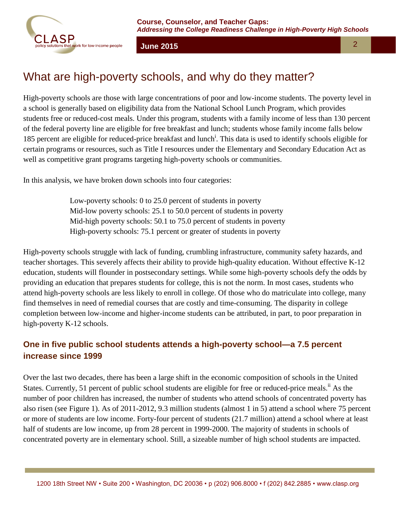



# What are high-poverty schools, and why do they matter?

High-poverty schools are those with large concentrations of poor and low-income students. The poverty level in a school is generally based on eligibility data from the National School Lunch Program, which provides students free or reduced-cost meals. Under this program, students with a family income of less than 130 percent of the federal poverty line are eligible for free breakfast and lunch; students whose family income falls below 185 percent are eligible for reduced-price breakfast and lunch<sup>i</sup>. This data is used to identify schools eligible for certain programs or resources, such as Title I resources under the Elementary and Secondary Education Act as well as competitive grant programs targeting high-poverty schools or communities.

In this analysis, we have broken down schools into four categories:

Low-poverty schools: 0 to 25.0 percent of students in poverty Mid-low poverty schools: 25.1 to 50.0 percent of students in poverty Mid-high poverty schools: 50.1 to 75.0 percent of students in poverty High-poverty schools: 75.1 percent or greater of students in poverty

High-poverty schools struggle with lack of funding, crumbling infrastructure, community safety hazards, and teacher shortages. This severely affects their ability to provide high-quality education. Without effective K-12 education, students will flounder in postsecondary settings. While some high-poverty schools defy the odds by providing an education that prepares students for college, this is not the norm. In most cases, students who attend high-poverty schools are less likely to enroll in college. Of those who do matriculate into college, many find themselves in need of remedial courses that are costly and time-consuming. The disparity in college completion between low-income and higher-income students can be attributed, in part, to poor preparation in high-poverty K-12 schools.

#### **One in five public school students attends a high-poverty school—a 7.5 percent increase since 1999**

Over the last two decades, there has been a large shift in the economic composition of schools in the United States. Currently, 51 percent of public school students are eligible for free or reduced-price meals.<sup>ii</sup> As the number of poor children has increased, the number of students who attend schools of concentrated poverty has also risen (see Figure 1). As of 2011-2012, 9.3 million students (almost 1 in 5) attend a school where 75 percent or more of students are low income. Forty-four percent of students (21.7 million) attend a school where at least half of students are low income, up from 28 percent in 1999-2000. The majority of students in schools of concentrated poverty are in elementary school. Still, a sizeable number of high school students are impacted.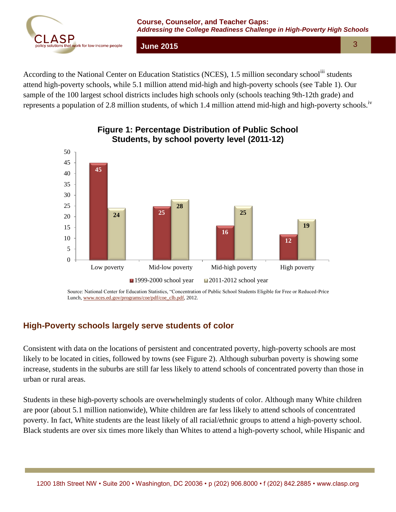

According to the National Center on Education Statistics (NCES), 1.5 million secondary school<sup>iii</sup> students attend high-poverty schools, while 5.1 million attend mid-high and high-poverty schools (see Table 1). Our sample of the 100 largest school districts includes high schools only (schools teaching 9th-12th grade) and represents a population of 2.8 million students, of which 1.4 million attend mid-high and high-poverty schools.<sup>iv</sup>



#### **Figure 1: Percentage Distribution of Public School Students, by school poverty level (2011-12)**

Source: National Center for Education Statistics, "Concentration of Public School Students Eligible for Free or Reduced-Price Lunch[, www.nces.ed.gov/programs/coe/pdf/coe\\_clb.pdf,](http://www.nces.ed.gov/programs/coe/pdf/coe_clb.pdf) 2012.

#### **High-Poverty schools largely serve students of color**

Consistent with data on the locations of persistent and concentrated poverty, high-poverty schools are most likely to be located in cities, followed by towns (see Figure 2). Although suburban poverty is showing some increase, students in the suburbs are still far less likely to attend schools of concentrated poverty than those in urban or rural areas.

Students in these high-poverty schools are overwhelmingly students of color. Although many White children are poor (about 5.1 million nationwide), White children are far less likely to attend schools of concentrated poverty. In fact, White students are the least likely of all racial/ethnic groups to attend a high-poverty school. Black students are over six times more likely than Whites to attend a high-poverty school, while Hispanic and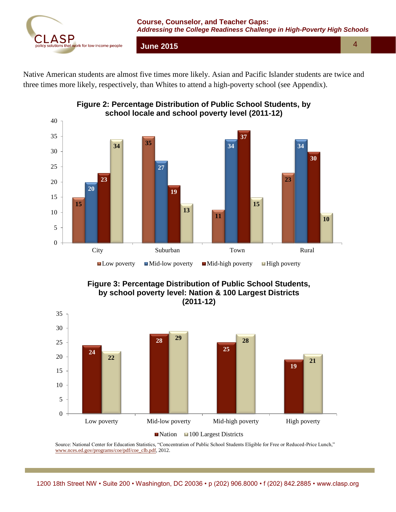

Native American students are almost five times more likely. Asian and Pacific Islander students are twice and three times more likely, respectively, than Whites to attend a high-poverty school (see Appendix).





**Figure 3: Percentage Distribution of Public School Students, by school poverty level: Nation & 100 Largest Districts (2011-12)**



Source: National Center for Education Statistics, "Concentration of Public School Students Eligible for Free or Reduced-Price Lunch," [www.nces.ed.gov/programs/coe/pdf/coe\\_clb.pdf,](http://www.nces.ed.gov/programs/coe/pdf/coe_clb.pdf) 2012.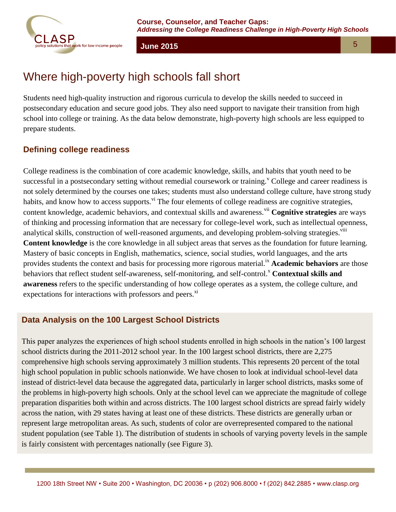

# Where high-poverty high schools fall short

Students need high-quality instruction and rigorous curricula to develop the skills needed to succeed in postsecondary education and secure good jobs. They also need support to navigate their transition from high school into college or training. As the data below demonstrate, high-poverty high schools are less equipped to prepare students.

#### **Defining college readiness**

College readiness is the combination of core academic knowledge, skills, and habits that youth need to be successful in a postsecondary setting without remedial coursework or training.<sup>V</sup> College and career readiness is not solely determined by the courses one takes; students must also understand college culture, have strong study habits, and know how to access supports.<sup>vi</sup> The four elements of college readiness are cognitive strategies, content knowledge, academic behaviors, and contextual skills and awareness.<sup>vii</sup> Cognitive strategies are ways of thinking and processing information that are necessary for college-level work, such as intellectual openness, analytical skills, construction of well-reasoned arguments, and developing problem-solving strategies.<sup>viii</sup> **Content knowledge** is the core knowledge in all subject areas that serves as the foundation for future learning. Mastery of basic concepts in English, mathematics, science, social studies, world languages, and the arts provides students the context and basis for processing more rigorous material.ix **Academic behaviors** are those behaviors that reflect student self-awareness, self-monitoring, and self-control.<sup>x</sup> Contextual skills and **awareness** refers to the specific understanding of how college operates as a system, the college culture, and expectations for interactions with professors and peers.<sup>xi</sup>

#### **Data Analysis on the 100 Largest School Districts**

This paper analyzes the experiences of high school students enrolled in high schools in the nation's 100 largest school districts during the 2011-2012 school year. In the 100 largest school districts, there are 2,275 comprehensive high schools serving approximately 3 million students. This represents 20 percent of the total high school population in public schools nationwide. We have chosen to look at individual school-level data instead of district-level data because the aggregated data, particularly in larger school districts, masks some of the problems in high-poverty high schools. Only at the school level can we appreciate the magnitude of college preparation disparities both within and across districts. The 100 largest school districts are spread fairly widely across the nation, with 29 states having at least one of these districts. These districts are generally urban or represent large metropolitan areas. As such, students of color are overrepresented compared to the national student population (see Table 1). The distribution of students in schools of varying poverty levels in the sample is fairly consistent with percentages nationally (see Figure 3).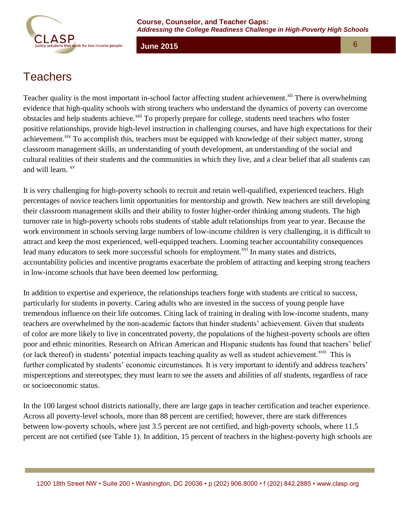

## **Teachers**

Teacher quality is the most important in-school factor affecting student achievement.<sup>xii</sup> There is overwhelming evidence that high-quality schools with strong teachers who understand the dynamics of poverty can overcome obstacles and help students achieve.<sup>xiii</sup> To properly prepare for college, students need teachers who foster positive relationships, provide high-level instruction in challenging courses, and have high expectations for their achievement.<sup>xiv</sup> To accomplish this, teachers must be equipped with knowledge of their subject matter, strong classroom management skills, an understanding of youth development, an understanding of the social and cultural realities of their students and the communities in which they live, and a clear belief that all students can and will learn. <sup>xv</sup>

It is very challenging for high-poverty schools to recruit and retain well-qualified, experienced teachers. High percentages of novice teachers limit opportunities for mentorship and growth. New teachers are still developing their classroom management skills and their ability to foster higher-order thinking among students. The high turnover rate in high-poverty schools robs students of stable adult relationships from year to year. Because the work environment in schools serving large numbers of low-income children is very challenging, it is difficult to attract and keep the most experienced, well-equipped teachers. Looming teacher accountability consequences lead many educators to seek more successful schools for employment.<sup>xvi</sup> In many states and districts, accountability policies and incentive programs exacerbate the problem of attracting and keeping strong teachers in low-income schools that have been deemed low performing.

In addition to expertise and experience, the relationships teachers forge with students are critical to success, particularly for students in poverty. Caring adults who are invested in the success of young people have tremendous influence on their life outcomes. Citing lack of training in dealing with low-income students, many teachers are overwhelmed by the non-academic factors that hinder students' achievement. Given that students of color are more likely to live in concentrated poverty, the populations of the highest-poverty schools are often poor and ethnic minorities. Research on African American and Hispanic students has found that teachers' belief (or lack thereof) in students' potential impacts teaching quality as well as student achievement.<sup>xvii</sup> This is further complicated by students' economic circumstances. It is very important to identify and address teachers' misperceptions and stereotypes; they must learn to see the assets and abilities of *all* students, regardless of race or socioeconomic status.

In the 100 largest school districts nationally, there are large gaps in teacher certification and teacher experience. Across all poverty-level schools, more than 88 percent are certified; however, there are stark differences between low-poverty schools, where just 3.5 percent are not certified, and high-poverty schools, where 11.5 percent are not certified (see Table 1). In addition, 15 percent of teachers in the highest-poverty high schools are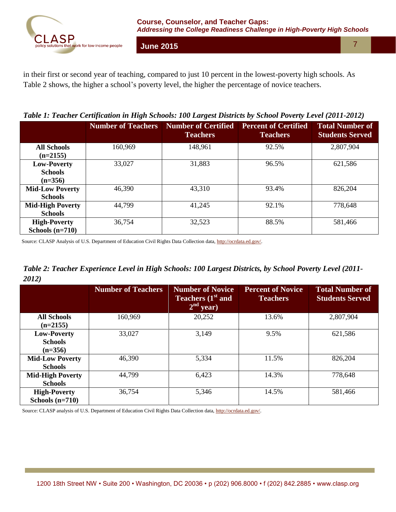

in their first or second year of teaching, compared to just 10 percent in the lowest-poverty high schools. As Table 2 shows, the higher a school's poverty level, the higher the percentage of novice teachers.

*Table 1: Teacher Certification in High Schools: 100 Largest Districts by School Poverty Level (2011-2012)*

|                                            | <b>Number of Teachers</b> | <b>Number of Certified</b><br><b>Teachers</b> | <b>Percent of Certified</b><br><b>Teachers</b> | <b>Total Number of</b><br><b>Students Served</b> |  |
|--------------------------------------------|---------------------------|-----------------------------------------------|------------------------------------------------|--------------------------------------------------|--|
| <b>All Schools</b><br>$(n=2155)$           | 160,969                   | 148,961                                       | 92.5%                                          | 2,807,904                                        |  |
| Low-Poverty<br><b>Schools</b><br>$(n=356)$ | 33,027                    | 31,883                                        | 96.5%                                          | 621,586                                          |  |
| <b>Mid-Low Poverty</b><br><b>Schools</b>   | 46,390                    | 43,310                                        | 93.4%                                          | 826,204                                          |  |
| <b>Mid-High Poverty</b><br><b>Schools</b>  | 44,799<br>41,245          |                                               | 92.1%                                          | 778,648                                          |  |
| <b>High-Poverty</b><br>Schools $(n=710)$   | 36,754                    | 32,523                                        | 88.5%                                          | 581,466                                          |  |

Source: CLASP Analysis of U.S. Department of Education Civil Rights Data Collection data[, http://ocrdata.ed.gov/.](http://ocrdata.ed.gov/)

*Table 2: Teacher Experience Level in High Schools: 100 Largest Districts, by School Poverty Level (2011- 2012)*

|                         | <b>Number of Teachers</b> | <b>Number of Novice</b><br>Teachers (1 <sup>st</sup> and<br>$2nd$ year) | <b>Percent of Novice</b><br><b>Teachers</b> | <b>Total Number of</b><br><b>Students Served</b> |  |
|-------------------------|---------------------------|-------------------------------------------------------------------------|---------------------------------------------|--------------------------------------------------|--|
| <b>All Schools</b>      | 160,969                   | 20,252                                                                  | 13.6%                                       | 2,807,904                                        |  |
| $(n=2155)$              |                           |                                                                         |                                             |                                                  |  |
| Low-Poverty             | 33,027                    | 3,149                                                                   | 9.5%                                        | 621,586                                          |  |
| <b>Schools</b>          |                           |                                                                         |                                             |                                                  |  |
| $(n=356)$               |                           |                                                                         |                                             |                                                  |  |
| <b>Mid-Low Poverty</b>  | 46,390                    | 5,334                                                                   | 11.5%                                       | 826,204                                          |  |
| <b>Schools</b>          |                           |                                                                         |                                             |                                                  |  |
| <b>Mid-High Poverty</b> | 44,799                    | 6,423                                                                   | 14.3%                                       | 778,648                                          |  |
| <b>Schools</b>          |                           |                                                                         |                                             |                                                  |  |
| <b>High-Poverty</b>     | 36,754                    | 5,346                                                                   | 14.5%                                       | 581,466                                          |  |
| Schools $(n=710)$       |                           |                                                                         |                                             |                                                  |  |

Source: CLASP analysis of U.S. Department of Education Civil Rights Data Collection data, [http://ocrdata.ed.gov/.](http://ocrdata.ed.gov/)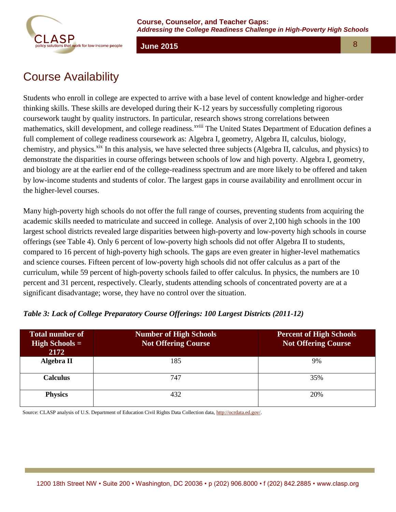

# Course Availability

Students who enroll in college are expected to arrive with a base level of content knowledge and higher-order thinking skills. These skills are developed during their K-12 years by successfully completing rigorous coursework taught by quality instructors. In particular, research shows strong correlations between mathematics, skill development, and college readiness.<sup>xviii</sup> The United States Department of Education defines a full complement of college readiness coursework as: Algebra I, geometry, Algebra II, calculus, biology, chemistry, and physics.<sup>xix</sup> In this analysis, we have selected three subjects (Algebra II, calculus, and physics) to demonstrate the disparities in course offerings between schools of low and high poverty. Algebra I, geometry, and biology are at the earlier end of the college-readiness spectrum and are more likely to be offered and taken by low-income students and students of color. The largest gaps in course availability and enrollment occur in the higher-level courses.

Many high-poverty high schools do not offer the full range of courses, preventing students from acquiring the academic skills needed to matriculate and succeed in college. Analysis of over 2,100 high schools in the 100 largest school districts revealed large disparities between high-poverty and low-poverty high schools in course offerings (see Table 4). Only 6 percent of low-poverty high schools did not offer Algebra II to students, compared to 16 percent of high-poverty high schools. The gaps are even greater in higher-level mathematics and science courses. Fifteen percent of low-poverty high schools did not offer calculus as a part of the curriculum, while 59 percent of high-poverty schools failed to offer calculus. In physics, the numbers are 10 percent and 31 percent, respectively. Clearly, students attending schools of concentrated poverty are at a significant disadvantage; worse, they have no control over the situation.

| <b>Total number of</b><br><b>High Schools =</b><br>2172 | <b>Number of High Schools</b><br><b>Not Offering Course</b> | <b>Percent of High Schools</b><br><b>Not Offering Course</b> |
|---------------------------------------------------------|-------------------------------------------------------------|--------------------------------------------------------------|
| Algebra II                                              | 185                                                         | 9%                                                           |
| <b>Calculus</b>                                         | 747                                                         | 35%                                                          |
| <b>Physics</b>                                          | 432                                                         | 20%                                                          |

#### *Table 3: Lack of College Preparatory Course Offerings: 100 Largest Districts (2011-12)*

Source: CLASP analysis of U.S. Department of Education Civil Rights Data Collection data[, http://ocrdata.ed.gov/.](http://ocrdata.ed.gov/)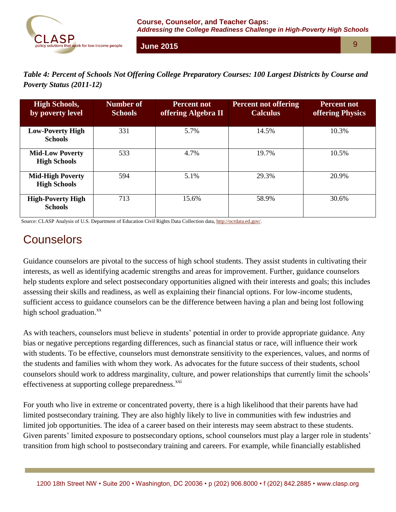

*Table 4: Percent of Schools Not Offering College Preparatory Courses: 100 Largest Districts by Course and Poverty Status (2011-12)*

| <b>High Schools,</b><br>by poverty level       | Number of<br><b>Schools</b> | <b>Percent not</b><br>offering Algebra II | <b>Percent not offering</b><br><b>Calculus</b> | <b>Percent not</b><br><b>offering Physics</b> |
|------------------------------------------------|-----------------------------|-------------------------------------------|------------------------------------------------|-----------------------------------------------|
| <b>Low-Poverty High</b><br><b>Schools</b>      | 331                         | 5.7%                                      | 14.5%                                          | 10.3%                                         |
| <b>Mid-Low Poverty</b><br><b>High Schools</b>  | 533                         | 4.7%                                      | 19.7%                                          | 10.5%                                         |
| <b>Mid-High Poverty</b><br><b>High Schools</b> | 594                         | 5.1%                                      | 29.3%                                          | 20.9%                                         |
| <b>High-Poverty High</b><br><b>Schools</b>     | 713                         | 15.6%                                     | 58.9%                                          | 30.6%                                         |

Source: CLASP Analysis of U.S. Department of Education Civil Rights Data Collection data[, http://ocrdata.ed.gov/.](http://ocrdata.ed.gov/)

# **Counselors**

Guidance counselors are pivotal to the success of high school students. They assist students in cultivating their interests, as well as identifying academic strengths and areas for improvement. Further, guidance counselors help students explore and select postsecondary opportunities aligned with their interests and goals; this includes assessing their skills and readiness, as well as explaining their financial options. For low-income students, sufficient access to guidance counselors can be the difference between having a plan and being lost following high school graduation. $^{xx}$ 

As with teachers, counselors must believe in students' potential in order to provide appropriate guidance. Any bias or negative perceptions regarding differences, such as financial status or race, will influence their work with students. To be effective, counselors must demonstrate sensitivity to the experiences, values, and norms of the students and families with whom they work. As advocates for the future success of their students, school counselors should work to address marginality, culture, and power relationships that currently limit the schools' effectiveness at supporting college preparedness.<sup>xxi</sup>

For youth who live in extreme or concentrated poverty, there is a high likelihood that their parents have had limited postsecondary training. They are also highly likely to live in communities with few industries and limited job opportunities. The idea of a career based on their interests may seem abstract to these students. Given parents' limited exposure to postsecondary options, school counselors must play a larger role in students' transition from high school to postsecondary training and careers. For example, while financially established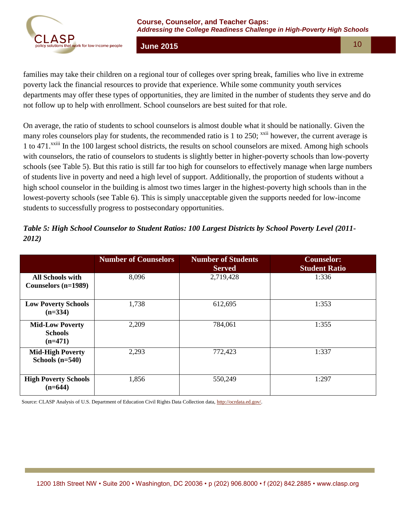

families may take their children on a regional tour of colleges over spring break, families who live in extreme poverty lack the financial resources to provide that experience. While some community youth services departments may offer these types of opportunities, they are limited in the number of students they serve and do not follow up to help with enrollment. School counselors are best suited for that role.

On average, the ratio of students to school counselors is almost double what it should be nationally. Given the many roles counselors play for students, the recommended ratio is 1 to 250;  $^{xxii}$  however, the current average is 1 to 471.<sup>xxiii</sup> In the 100 largest school districts, the results on school counselors are mixed. Among high schools with counselors, the ratio of counselors to students is slightly better in higher-poverty schools than low-poverty schools (see Table 5). But this ratio is still far too high for counselors to effectively manage when large numbers of students live in poverty and need a high level of support. Additionally, the proportion of students without a high school counselor in the building is almost two times larger in the highest-poverty high schools than in the lowest-poverty schools (see Table 6). This is simply unacceptable given the supports needed for low-income students to successfully progress to postsecondary opportunities.

|                                                       | <b>Number of Counselors</b> | <b>Number of Students</b><br><b>Served</b> | <b>Counselor:</b><br><b>Student Ratio</b> |
|-------------------------------------------------------|-----------------------------|--------------------------------------------|-------------------------------------------|
| <b>All Schools with</b><br>Counselors (n=1989)        | 8,096                       | 2,719,428                                  | 1:336                                     |
| <b>Low Poverty Schools</b><br>$(n=334)$               | 1,738                       | 612,695                                    | 1:353                                     |
| <b>Mid-Low Poverty</b><br><b>Schools</b><br>$(n=471)$ | 2,209                       | 784,061                                    | 1:355                                     |
| <b>Mid-High Poverty</b><br>Schools $(n=540)$          | 2,293                       | 772,423                                    | 1:337                                     |
| <b>High Poverty Schools</b><br>$(n=644)$              | 1,856                       | 550,249                                    | 1:297                                     |

#### *Table 5: High School Counselor to Student Ratios: 100 Largest Districts by School Poverty Level (2011- 2012)*

Source: CLASP Analysis of U.S. Department of Education Civil Rights Data Collection data[, http://ocrdata.ed.gov/.](http://ocrdata.ed.gov/)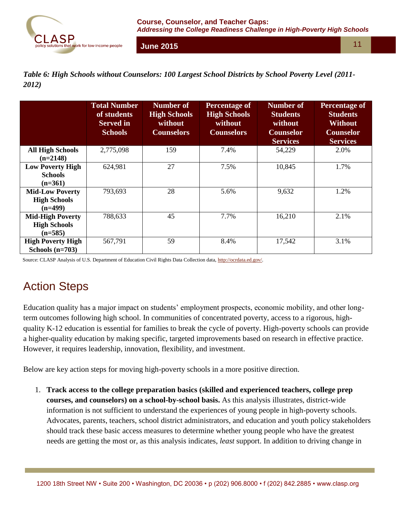

*Table 6: High Schools without Counselors: 100 Largest School Districts by School Poverty Level (2011- 2012)*

|                                                             | <b>Total Number</b><br>of students<br><b>Served</b> in<br><b>Schools</b> | <b>Number of</b><br><b>High Schools</b><br>without<br><b>Counselors</b> | <b>Percentage of</b><br><b>High Schools</b><br>without<br><b>Counselors</b> | <b>Number of</b><br><b>Students</b><br>without<br><b>Counselor</b><br><b>Services</b> | <b>Percentage of</b><br><b>Students</b><br><b>Without</b><br><b>Counselor</b><br><b>Services</b> |
|-------------------------------------------------------------|--------------------------------------------------------------------------|-------------------------------------------------------------------------|-----------------------------------------------------------------------------|---------------------------------------------------------------------------------------|--------------------------------------------------------------------------------------------------|
| <b>All High Schools</b><br>$(n=2148)$                       | 2,775,098                                                                | 159                                                                     | 7.4%                                                                        | 54,229                                                                                | 2.0%                                                                                             |
| <b>Low Poverty High</b><br><b>Schools</b><br>$(n=361)$      | 624,981                                                                  | 27                                                                      | 7.5%                                                                        | 10,845                                                                                | 1.7%                                                                                             |
| <b>Mid-Low Poverty</b><br><b>High Schools</b><br>$(n=499)$  | 793,693                                                                  | 28                                                                      | 5.6%                                                                        | 9,632                                                                                 | 1.2%                                                                                             |
| <b>Mid-High Poverty</b><br><b>High Schools</b><br>$(n=585)$ | 788,633                                                                  | 45                                                                      | 7.7%                                                                        | 16,210                                                                                | 2.1%                                                                                             |
| <b>High Poverty High</b><br>Schools $(n=703)$               | 567,791                                                                  | 59                                                                      | 8.4%                                                                        | 17,542                                                                                | 3.1%                                                                                             |

Source: CLASP Analysis of U.S. Department of Education Civil Rights Data Collection data, [http://ocrdata.ed.gov/.](http://ocrdata.ed.gov/)

# Action Steps

Education quality has a major impact on students' employment prospects, economic mobility, and other longterm outcomes following high school. In communities of concentrated poverty, access to a rigorous, highquality K-12 education is essential for families to break the cycle of poverty. High-poverty schools can provide a higher-quality education by making specific, targeted improvements based on research in effective practice. However, it requires leadership, innovation, flexibility, and investment.

Below are key action steps for moving high-poverty schools in a more positive direction.

1. **Track access to the college preparation basics (skilled and experienced teachers, college prep courses, and counselors) on a school-by-school basis.** As this analysis illustrates, district-wide information is not sufficient to understand the experiences of young people in high-poverty schools. Advocates, parents, teachers, school district administrators, and education and youth policy stakeholders should track these basic access measures to determine whether young people who have the greatest needs are getting the most or, as this analysis indicates, *least* support. In addition to driving change in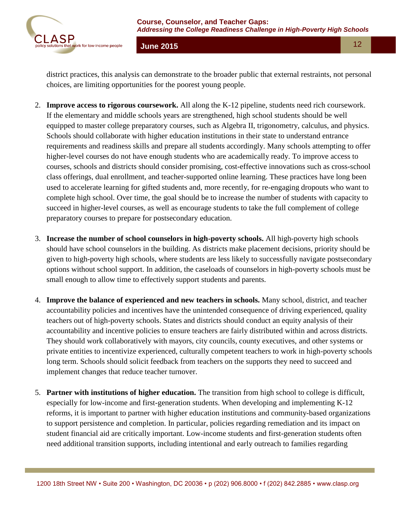

district practices, this analysis can demonstrate to the broader public that external restraints, not personal choices, are limiting opportunities for the poorest young people.

- 2. **Improve access to rigorous coursework.** All along the K-12 pipeline, students need rich coursework. If the elementary and middle schools years are strengthened, high school students should be well equipped to master college preparatory courses, such as Algebra II, trigonometry, calculus, and physics. Schools should collaborate with higher education institutions in their state to understand entrance requirements and readiness skills and prepare all students accordingly. Many schools attempting to offer higher-level courses do not have enough students who are academically ready. To improve access to courses, schools and districts should consider promising, cost-effective innovations such as cross-school class offerings, dual enrollment, and teacher-supported online learning. These practices have long been used to accelerate learning for gifted students and, more recently, for re-engaging dropouts who want to complete high school. Over time, the goal should be to increase the number of students with capacity to succeed in higher-level courses, as well as encourage students to take the full complement of college preparatory courses to prepare for postsecondary education.
- 3. **Increase the number of school counselors in high-poverty schools.** All high-poverty high schools should have school counselors in the building. As districts make placement decisions, priority should be given to high-poverty high schools, where students are less likely to successfully navigate postsecondary options without school support. In addition, the caseloads of counselors in high-poverty schools must be small enough to allow time to effectively support students and parents.
- 4. **Improve the balance of experienced and new teachers in schools.** Many school, district, and teacher accountability policies and incentives have the unintended consequence of driving experienced, quality teachers out of high-poverty schools. States and districts should conduct an equity analysis of their accountability and incentive policies to ensure teachers are fairly distributed within and across districts. They should work collaboratively with mayors, city councils, county executives, and other systems or private entities to incentivize experienced, culturally competent teachers to work in high-poverty schools long term. Schools should solicit feedback from teachers on the supports they need to succeed and implement changes that reduce teacher turnover.
- 5. **Partner with institutions of higher education.** The transition from high school to college is difficult, especially for low-income and first-generation students. When developing and implementing K-12 reforms, it is important to partner with higher education institutions and community-based organizations to support persistence and completion. In particular, policies regarding remediation and its impact on student financial aid are critically important. Low-income students and first-generation students often need additional transition supports, including intentional and early outreach to families regarding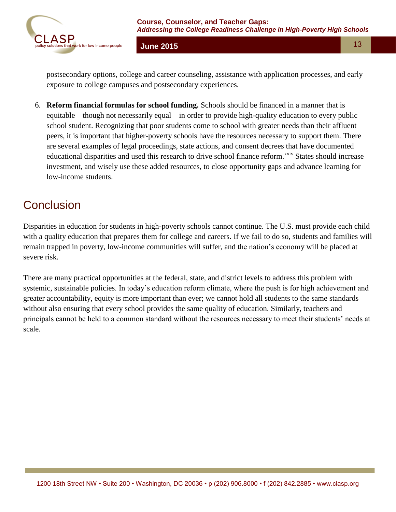

postsecondary options, college and career counseling, assistance with application processes, and early exposure to college campuses and postsecondary experiences.

6. **Reform financial formulas for school funding.** Schools should be financed in a manner that is equitable—though not necessarily equal—in order to provide high-quality education to every public school student. Recognizing that poor students come to school with greater needs than their affluent peers, it is important that higher-poverty schools have the resources necessary to support them. There are several examples of legal proceedings, state actions, and consent decrees that have documented educational disparities and used this research to drive school finance reform.<sup>xxiv</sup> States should increase investment, and wisely use these added resources, to close opportunity gaps and advance learning for low-income students.

# **Conclusion**

Disparities in education for students in high-poverty schools cannot continue. The U.S. must provide each child with a quality education that prepares them for college and careers. If we fail to do so, students and families will remain trapped in poverty, low-income communities will suffer, and the nation's economy will be placed at severe risk.

There are many practical opportunities at the federal, state, and district levels to address this problem with systemic, sustainable policies. In today's education reform climate, where the push is for high achievement and greater accountability, equity is more important than ever; we cannot hold all students to the same standards without also ensuring that every school provides the same quality of education. Similarly, teachers and principals cannot be held to a common standard without the resources necessary to meet their students' needs at scale.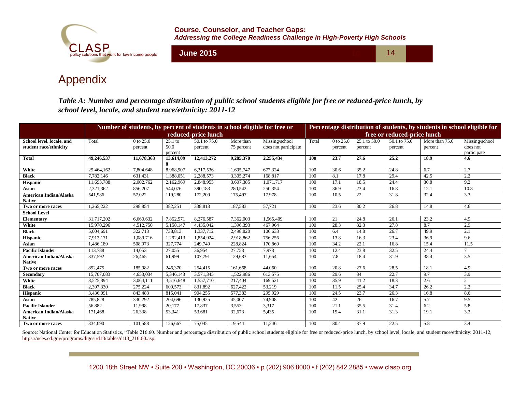

**Course, Counselor, and Teacher Gaps:**  *Addressing the College Readiness Challenge in High-Poverty High Schools*

**June 2015** 16 14

### Appendix

*Table A: Number and percentage distribution of public school students eligible for free or reduced-price lunch, by school level, locale, and student race/ethnicity: 2011-12*

|                               | Number of students, by percent of students in school eligible for free or |               |           |                     |            | Percentage distribution of students, by students in school eligible for |       |                             |              |              |                |                |
|-------------------------------|---------------------------------------------------------------------------|---------------|-----------|---------------------|------------|-------------------------------------------------------------------------|-------|-----------------------------|--------------|--------------|----------------|----------------|
|                               |                                                                           |               |           | reduced-price lunch |            |                                                                         |       | free or reduced-price lunch |              |              |                |                |
| School level, locale, and     | Total                                                                     | $0$ to $25.0$ | $25.1$ to | 50.1 to 75.0        | More than  | Missing/school                                                          | Total | 0 to 25.0                   | 25.1 to 50.0 | 50.1 to 75.0 | More than 75.0 | Missing/school |
| student race/ethnicity        |                                                                           | percent       | 50.0      | percent             | 75 percent | does not participate                                                    |       | percent                     | percent      | percent      | percent        | does not       |
|                               |                                                                           |               | percent   |                     |            |                                                                         | 100   |                             | 27.6         | 25.2         | 18.9           | participate    |
| <b>Total</b>                  | 49,246,537                                                                | 11,678,363    | 13,614,09 | 12,413,272          | 9,285,370  | 2,255,434                                                               |       | 23.7                        |              |              |                | 4.6            |
| White                         | 25,464,162                                                                | 7,804,648     | 8,968,907 | 6,317,536           | 1,695,747  | 677,324                                                                 | 100   | 30.6                        | 35.2         | 24.8         | 6.7            | 2.7            |
| <b>Black</b>                  | 7,782,146                                                                 | 631,431       | 1,388,051 | 2,288,573           | 3,305,274  | 168,817                                                                 | 100   | 8.1                         | 17.8         | 29.4         | 42.5           | 2.2            |
| <b>Hispanic</b>               | 11,693,788                                                                | 2,002,762     | 2,162,969 | 2,848,955           | 3,607,385  | 1.071.717                                                               | 100   | 17.1                        | 18.5         | 24.4         | 30.8           | 9.2            |
| Asian                         | 2.321.362                                                                 | 856,207       | 544,076   | 390,183             | 280,542    | 250,354                                                                 | 100   | 36.9                        | 23.4         | 16.8         | 12.1           | 10.8           |
| <b>American Indian/Alaska</b> | 541,986                                                                   | 57,022        | 119,280   | 172,209             | 175,497    | 17,978                                                                  | 100   | 10.5                        | 22           | 31.8         | 32.4           | 3.3            |
| <b>Native</b>                 |                                                                           |               |           |                     |            |                                                                         |       |                             |              |              |                |                |
| Two or more races             | 1.265.222                                                                 | 298,854       | 382,251   | 338,813             | 187.583    | 57,721                                                                  | 100   | 23.6                        | 30.2         | 26.8         | 14.8           | 4.6            |
| <b>School Level</b>           |                                                                           |               |           |                     |            |                                                                         |       |                             |              |              |                |                |
| Elementary                    | 31,717,202                                                                | 6,660,632     | 7,852,571 | 8,276,587           | 7,362,003  | 1,565,409                                                               | 100   | 21                          | 24.8         | 26.1         | 23.2           | 4.9            |
| White                         | 15,970,296                                                                | 4,512,750     | 5,158,147 | 4,435,042           | 1,396,393  | 467,964                                                                 | 100   | 28.3                        | 32.3         | 27.8         | 8.7            | 2.9            |
| <b>Black</b>                  | 5.004.691                                                                 | 322,713       | 738.813   | 1,337,712           | 2,498,820  | 106.633                                                                 | 100   | 6.4                         | 14.8         | 26.7         | 49.9           | 2.1            |
| <b>Hispanic</b>               | 7,912,171                                                                 | 1,089,716     | 1,292,413 | 1,854,924           | 2,918,862  | 756,256                                                                 | 100   | 13.8                        | 16.3         | 23.4         | 36.9           | 9.6            |
| Asian                         | 1.486.189                                                                 | 508,973       | 327,774   | 249,749             | 228,824    | 170,869                                                                 | 100   | 34.2                        | 22.1         | 16.8         | 15.4           | 11.5           |
| <b>Pacific Islander</b>       | 113.788                                                                   | 14,053        | 27,055    | 36,954              | 27,753     | 7,973                                                                   | 100   | 12.4                        | 23.8         | 32.5         | 24.4           | $\tau$         |
| American Indian/Alaska        | 337,592                                                                   | 26,465        | 61.999    | 107,791             | 129,683    | 11,654                                                                  | 100   | 7.8                         | 18.4         | 31.9         | 38.4           | 3.5            |
| <b>Native</b>                 |                                                                           |               |           |                     |            |                                                                         |       |                             |              |              |                |                |
| Two or more races             | 892,475                                                                   | 185,982       | 246,370   | 254,415             | 161,668    | 44,060                                                                  | 100   | 20.8                        | 27.6         | 28.5         | 18.1           | 4.9            |
| Secondary                     | 15,707,083                                                                | 4.653.034     | 5,346,143 | 3,571,345           | 1,522,986  | 613,575                                                                 | 100   | 29.6                        | 34           | 22.7         | 9.7            | 3.9            |
| White                         | 8,525,394                                                                 | 3,064,111     | 3,516,648 | 1,557,710           | 217,404    | 169,521                                                                 | 100   | 35.9                        | 41.2         | 18.3         | 2.6            | 2              |
| <b>Black</b>                  | 2,397,330                                                                 | 275,224       | 609,573   | 831,892             | 627,422    | 53,219                                                                  | 100   | 11.5                        | 25.4         | 34.7         | 26.2           | 2.2            |
| <b>Hispanic</b>               | 3,436,091                                                                 | 843,483       | 815,041   | 904,255             | 577,383    | 295,929                                                                 | 100   | 24.5                        | 23.7         | 26.3         | 16.8           | 8.6            |
| Asian                         | 785,828                                                                   | 330.292       | 204,696   | 130.925             | 45,007     | 74,908                                                                  | 100   | 42                          | 26           | 16.7         | 5.7            | 9.5            |
| <b>Pacific Islander</b>       | 56,882                                                                    | 11,998        | 20,177    | 17,837              | 3,553      | 3,317                                                                   | 100   | 21.1                        | 35.5         | 31.4         | 6.2            | 5.8            |
| American Indian/Alaska        | 171,468                                                                   | 26,338        | 53.341    | 53,681              | 32,673     | 5,435                                                                   | 100   | 15.4                        | 31.1         | 31.3         | 19.1           | 3.2            |
| <b>Native</b>                 |                                                                           |               |           |                     |            |                                                                         |       |                             |              |              |                |                |
| Two or more races             | 334,090                                                                   | 101,588       | 126,667   | 75,045              | 19.544     | 11.246                                                                  | 100   | 30.4                        | 37.9         | 22.5         | 5.8            | 3.4            |

Source: National Center for Education Statistics, "Table 216.60. Number and percentage distribution of public school students eligible for free or reduced-price lunch, by school level, locale, and student race/ethnicity: 2 [https://nces.ed.gov/programs/digest/d13/tables/dt13\\_216.60.asp.](https://nces.ed.gov/programs/digest/d13/tables/dt13_216.60.asp)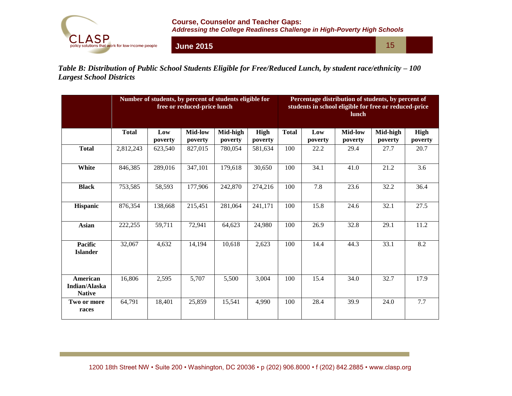

**June 2015**

15

*Table B: Distribution of Public School Students Eligible for Free/Reduced Lunch, by student race/ethnicity – 100 Largest School Districts*

|                                            |              |                | free or reduced-price lunch | Number of students, by percent of students eligible for | Percentage distribution of students, by percent of<br>students in school eligible for free or reduced-price<br><b>lunch</b> |              |                |                           |                     |                        |
|--------------------------------------------|--------------|----------------|-----------------------------|---------------------------------------------------------|-----------------------------------------------------------------------------------------------------------------------------|--------------|----------------|---------------------------|---------------------|------------------------|
|                                            | <b>Total</b> | Low<br>poverty | <b>Mid-low</b><br>poverty   | Mid-high<br>poverty                                     | High<br>poverty                                                                                                             | <b>Total</b> | Low<br>poverty | <b>Mid-low</b><br>poverty | Mid-high<br>poverty | <b>High</b><br>poverty |
| <b>Total</b>                               | 2,812,243    | 623,540        | 827,015                     | 780,054                                                 | 581,634                                                                                                                     | 100          | 22.2           | 29.4                      | 27.7                | 20.7                   |
| White                                      | 846,385      | 289,016        | 347,101                     | 179,618                                                 | 30,650                                                                                                                      | 100          | 34.1           | 41.0                      | 21.2                | 3.6                    |
| <b>Black</b>                               | 753,585      | 58,593         | 177,906                     | 242,870                                                 | 274,216                                                                                                                     | 100          | 7.8            | 23.6                      | 32.2                | 36.4                   |
| Hispanic                                   | 876,354      | 138,668        | 215,451                     | 281,064                                                 | 241,171                                                                                                                     | 100          | 15.8           | 24.6                      | 32.1                | 27.5                   |
| <b>Asian</b>                               | 222,255      | 59,711         | 72,941                      | 64,623                                                  | 24,980                                                                                                                      | 100          | 26.9           | 32.8                      | 29.1                | 11.2                   |
| <b>Pacific</b><br><b>Islander</b>          | 32,067       | 4,632          | 14,194                      | 10,618                                                  | 2,623                                                                                                                       | 100          | 14.4           | 44.3                      | 33.1                | $\overline{8.2}$       |
| American<br>Indian/Alaska<br><b>Native</b> | 16,806       | 2,595          | 5,707                       | 5,500                                                   | 3,004                                                                                                                       | 100          | 15.4           | 34.0                      | 32.7                | 17.9                   |
| Two or more<br>races                       | 64,791       | 18,401         | 25,859                      | 15,541                                                  | 4,990                                                                                                                       | 100          | 28.4           | 39.9                      | 24.0                | 7.7                    |